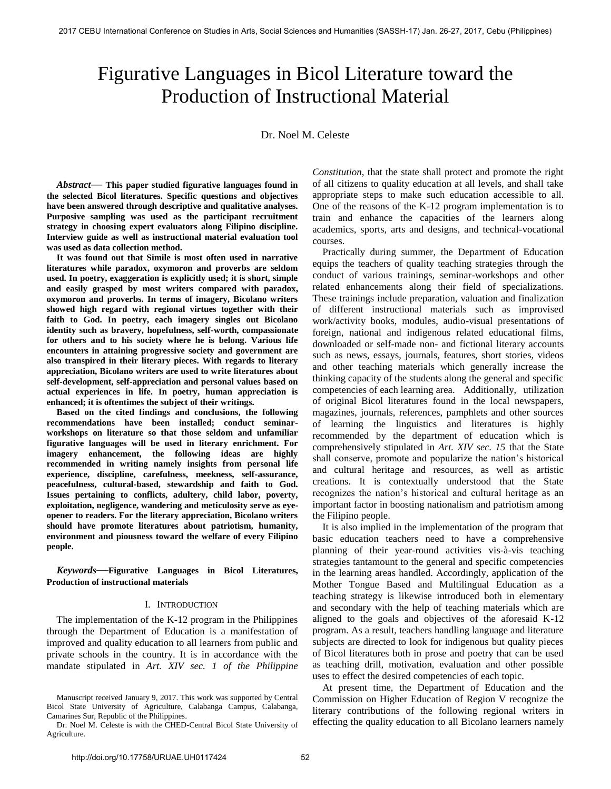# Figurative Languages in Bicol Literature toward the Production of Instructional Material

Dr. Noel M. Celeste

*Abstract*— **This paper studied figurative languages found in the selected Bicol literatures. Specific questions and objectives have been answered through descriptive and qualitative analyses. Purposive sampling was used as the participant recruitment strategy in choosing expert evaluators along Filipino discipline. Interview guide as well as instructional material evaluation tool was used as data collection method.** 

 **It was found out that Simile is most often used in narrative literatures while paradox, oxymoron and proverbs are seldom used. In poetry, exaggeration is explicitly used; it is short, simple and easily grasped by most writers compared with paradox, oxymoron and proverbs. In terms of imagery, Bicolano writers showed high regard with regional virtues together with their faith to God. In poetry, each imagery singles out Bicolano identity such as bravery, hopefulness, self-worth, compassionate for others and to his society where he is belong. Various life encounters in attaining progressive society and government are also transpired in their literary pieces. With regards to literary appreciation, Bicolano writers are used to write literatures about self-development, self-appreciation and personal values based on actual experiences in life. In poetry, human appreciation is enhanced; it is oftentimes the subject of their writings.** 

 **Based on the cited findings and conclusions, the following recommendations have been installed; conduct seminarworkshops on literature so that those seldom and unfamiliar figurative languages will be used in literary enrichment. For imagery enhancement, the following ideas are highly recommended in writing namely insights from personal life experience, discipline, carefulness, meekness, self-assurance, peacefulness, cultural-based, stewardship and faith to God. Issues pertaining to conflicts, adultery, child labor, poverty, exploitation, negligence, wandering and meticulosity serve as eyeopener to readers. For the literary appreciation, Bicolano writers should have promote literatures about patriotism, humanity, environment and piousness toward the welfare of every Filipino people.**

*Keywords*—**Figurative Languages in Bicol Literatures, Production of instructional materials**

#### I. INTRODUCTION

The implementation of the K-12 program in the Philippines through the Department of Education is a manifestation of improved and quality education to all learners from public and private schools in the country. It is in accordance with the mandate stipulated in *Art. XIV sec. 1 of the Philippine* 

Manuscript received January 9, 2017. This work was supported by Central Bicol State University of Agriculture, Calabanga Campus, Calabanga, Camarines Sur, Republic of the Philippines.

Dr. Noel M. Celeste is with the CHED-Central Bicol State University of Agriculture.

*Constitution*, that the state shall protect and promote the right of all citizens to quality education at all levels, and shall take appropriate steps to make such education accessible to all. One of the reasons of the K-12 program implementation is to train and enhance the capacities of the learners along academics, sports, arts and designs, and technical-vocational courses.

 Practically during summer, the Department of Education equips the teachers of quality teaching strategies through the conduct of various trainings, seminar-workshops and other related enhancements along their field of specializations. These trainings include preparation, valuation and finalization of different instructional materials such as improvised work/activity books, modules, audio-visual presentations of foreign, national and indigenous related educational films, downloaded or self-made non- and fictional literary accounts such as news, essays, journals, features, short stories, videos and other teaching materials which generally increase the thinking capacity of the students along the general and specific competencies of each learning area. Additionally, utilization of original Bicol literatures found in the local newspapers, magazines, journals, references, pamphlets and other sources of learning the linguistics and literatures is highly recommended by the department of education which is comprehensively stipulated in *Art. XIV sec. 15* that the State shall conserve, promote and popularize the nation's historical and cultural heritage and resources, as well as artistic creations. It is contextually understood that the State recognizes the nation's historical and cultural heritage as an important factor in boosting nationalism and patriotism among the Filipino people.

 It is also implied in the implementation of the program that basic education teachers need to have a comprehensive planning of their year-round activities vis-à-vis teaching strategies tantamount to the general and specific competencies in the learning areas handled. Accordingly, application of the Mother Tongue Based and Multilingual Education as a teaching strategy is likewise introduced both in elementary and secondary with the help of teaching materials which are aligned to the goals and objectives of the aforesaid K-12 program. As a result, teachers handling language and literature subjects are directed to look for indigenous but quality pieces of Bicol literatures both in prose and poetry that can be used as teaching drill, motivation, evaluation and other possible uses to effect the desired competencies of each topic.

 At present time, the Department of Education and the Commission on Higher Education of Region V recognize the literary contributions of the following regional writers in effecting the quality education to all Bicolano learners namely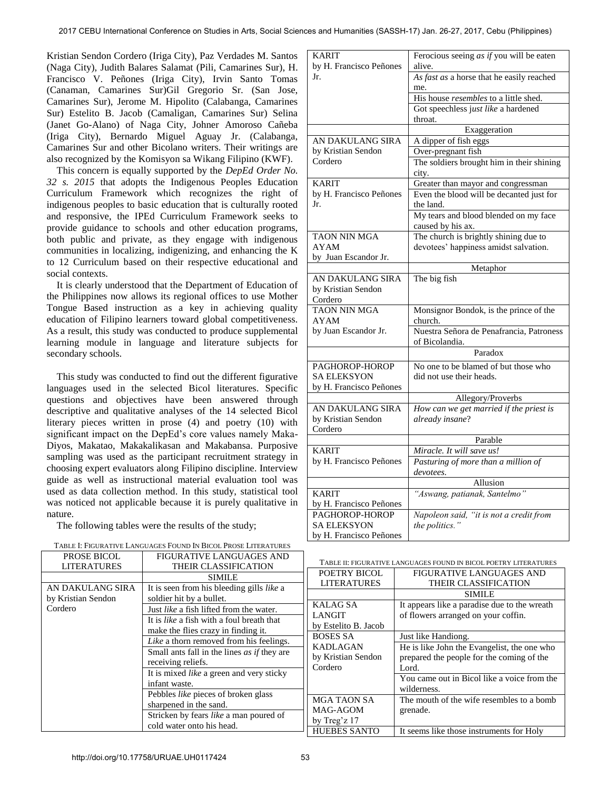Kristian Sendon Cordero (Iriga City), Paz Verdades M. Santos (Naga City), Judith Balares Salamat (Pili, Camarines Sur), H. Francisco V. Peñones (Iriga City), Irvin Santo Tomas (Canaman, Camarines Sur)Gil Gregorio Sr. (San Jose, Camarines Sur), Jerome M. Hipolito (Calabanga, Camarines Sur) Estelito B. Jacob (Camaligan, Camarines Sur) Selina (Janet Go-Alano) of Naga City, Johner Amoroso Cañeba (Iriga City), Bernardo Miguel Aguay Jr. (Calabanga, Camarines Sur and other Bicolano writers. Their writings are also recognized by the Komisyon sa Wikang Filipino (KWF).

 This concern is equally supported by the *DepEd Order No. 32 s. 2015* that adopts the Indigenous Peoples Education Curriculum Framework which recognizes the right of indigenous peoples to basic education that is culturally rooted and responsive, the IPEd Curriculum Framework seeks to provide guidance to schools and other education programs, both public and private, as they engage with indigenous communities in localizing, indigenizing, and enhancing the K to 12 Curriculum based on their respective educational and social contexts.

 It is clearly understood that the Department of Education of the Philippines now allows its regional offices to use Mother Tongue Based instruction as a key in achieving quality education of Filipino learners toward global competitiveness. As a result, this study was conducted to produce supplemental learning module in language and literature subjects for secondary schools.

 This study was conducted to find out the different figurative languages used in the selected Bicol literatures. Specific questions and objectives have been answered through descriptive and qualitative analyses of the 14 selected Bicol literary pieces written in prose (4) and poetry (10) with significant impact on the DepEd's core values namely Maka-Diyos, Makatao, Makakalikasan and Makabansa. Purposive sampling was used as the participant recruitment strategy in choosing expert evaluators along Filipino discipline. Interview guide as well as instructional material evaluation tool was used as data collection method. In this study, statistical tool was noticed not applicable because it is purely qualitative in nature.

The following tables were the results of the study;

PROSE BICOL LITERATURES

| TABLE I: FIGURATIVE LANGUAGES FOUND IN BICOL PROSE LITERATURES |  |
|----------------------------------------------------------------|--|
|----------------------------------------------------------------|--|

FIGURATIVE LANGUAGES AND THEIR CLASSIFICATION

| <b>KARIT</b>                   | Ferocious seeing as if you will be eaten                     |  |
|--------------------------------|--------------------------------------------------------------|--|
| by H. Francisco Peñones        | alive.                                                       |  |
| Jr.                            | As $fast$ as a horse that he easily reached                  |  |
|                                | me.                                                          |  |
|                                | His house resembles to a little shed.                        |  |
|                                | Got speechless just like a hardened                          |  |
|                                | throat.                                                      |  |
|                                | Exaggeration                                                 |  |
| AN DAKULANG SIRA               | A dipper of fish eggs                                        |  |
| by Kristian Sendon             | Over-pregnant fish                                           |  |
| Cordero                        | The soldiers brought him in their shining                    |  |
|                                | city.                                                        |  |
| <b>KARIT</b>                   | Greater than mayor and congressman                           |  |
| by H. Francisco Peñones        | Even the blood will be decanted just for                     |  |
| Jr.                            | the land.                                                    |  |
|                                | My tears and blood blended on my face                        |  |
|                                | caused by his ax.                                            |  |
| <b>TAON NIN MGA</b>            | The church is brightly shining due to                        |  |
| <b>AYAM</b>                    | devotees' happiness amidst salvation.                        |  |
| by Juan Escandor Jr.           |                                                              |  |
|                                | Metaphor                                                     |  |
| AN DAKULANG SIRA               | The big fish                                                 |  |
| by Kristian Sendon             |                                                              |  |
| Cordero<br><b>TAON NIN MGA</b> | Monsignor Bondok, is the prince of the                       |  |
| <b>AYAM</b>                    | church.                                                      |  |
| by Juan Escandor Jr.           | Nuestra Señora de Penafrancia, Patroness                     |  |
|                                | of Bicolandia.                                               |  |
|                                | Paradox                                                      |  |
|                                |                                                              |  |
| PAGHOROP-HOROP                 | No one to be blamed of but those who                         |  |
| <b>SA ELEKSYON</b>             | did not use their heads.                                     |  |
| by H. Francisco Peñones        |                                                              |  |
| AN DAKULANG SIRA               | Allegory/Proverbs<br>How can we get married if the priest is |  |
| by Kristian Sendon             | already insane?                                              |  |
| Cordero                        |                                                              |  |
|                                | Parable                                                      |  |
| <b>KARIT</b>                   | Miracle. It will save us!                                    |  |
| by H. Francisco Peñones        | Pasturing of more than a million of                          |  |
|                                | devotees.                                                    |  |
|                                | Allusion                                                     |  |
| <b>KARIT</b>                   | "Aswang, patianak, Santelmo"                                 |  |
| by H. Francisco Peñones        |                                                              |  |
| PAGHOROP-HOROP                 | Napoleon said, "it is not a credit from                      |  |
| <b>SA ELEKSYON</b>             | the politics."                                               |  |
|                                |                                                              |  |

| TABLE II: FIGURATIVE LANGUAGES FOUND IN BICOL POETRY LITERATURES |
|------------------------------------------------------------------|
|                                                                  |

| POETRY BICOL         |                                              |
|----------------------|----------------------------------------------|
|                      | FIGURATIVE LANGUAGES AND                     |
| <b>LITERATURES</b>   | THEIR CLASSIFICATION                         |
|                      | <b>SIMILE</b>                                |
| <b>KALAG SA</b>      | It appears like a paradise due to the wreath |
| <b>LANGIT</b>        | of flowers arranged on your coffin.          |
| by Estelito B. Jacob |                                              |
| <b>BOSES SA</b>      | Just like Handiong.                          |
| <b>KADLAGAN</b>      | He is like John the Evangelist, the one who  |
| by Kristian Sendon   | prepared the people for the coming of the    |
| Cordero              | Lord.                                        |
|                      | You came out in Bicol like a voice from the  |
|                      | wilderness.                                  |
| <b>MGA TAON SA</b>   | The mouth of the wife resembles to a bomb    |
| MAG-AGOM             | grenade.                                     |
| by Treg'z $17$       |                                              |
| <b>HUEBES SANTO</b>  | It seems like those instruments for Holy     |
|                      |                                              |

by H. Francisco Peñones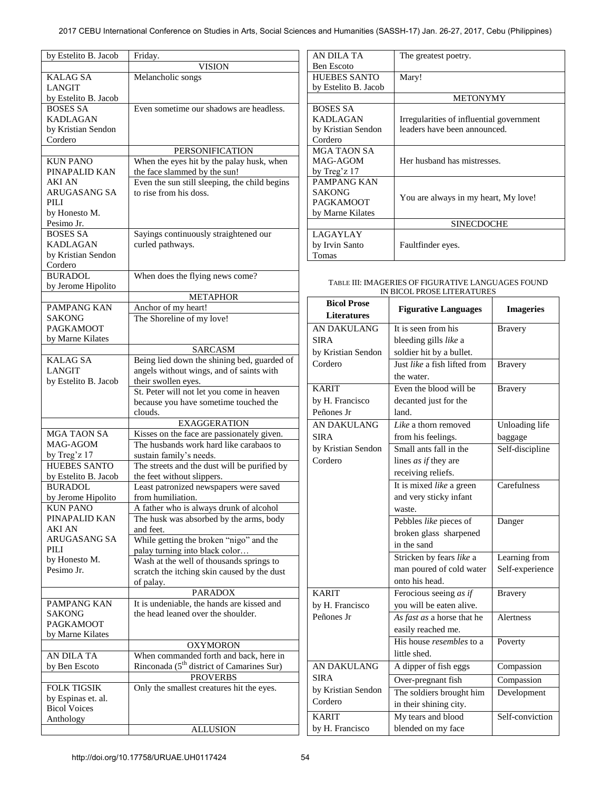| by Estelito B. Jacob                   | Friday.                                                                    |  |
|----------------------------------------|----------------------------------------------------------------------------|--|
|                                        | <b>VISION</b>                                                              |  |
| <b>KALAG SA</b>                        | Melancholic songs                                                          |  |
| <b>LANGIT</b>                          |                                                                            |  |
| by Estelito B. Jacob                   |                                                                            |  |
| <b>BOSES SA</b>                        | Even sometime our shadows are headless.                                    |  |
| <b>KADLAGAN</b>                        |                                                                            |  |
| by Kristian Sendon<br>Cordero          |                                                                            |  |
|                                        | PERSONIFICATION                                                            |  |
| <b>KUN PANO</b>                        | When the eyes hit by the palay husk, when                                  |  |
| PINAPALID KAN                          | the face slammed by the sun!                                               |  |
| <b>AKI AN</b>                          | Even the sun still sleeping, the child begins                              |  |
| <b>ARUGASANG SA</b>                    | to rise from his doss.                                                     |  |
| PILI                                   |                                                                            |  |
| by Honesto M.                          |                                                                            |  |
| Pesimo Jr.                             |                                                                            |  |
| <b>BOSES SA</b>                        | Sayings continuously straightened our                                      |  |
| <b>KADLAGAN</b>                        | curled pathways.                                                           |  |
| by Kristian Sendon                     |                                                                            |  |
| Cordero                                |                                                                            |  |
| <b>BURADOL</b>                         | When does the flying news come?                                            |  |
| by Jerome Hipolito                     |                                                                            |  |
|                                        | <b>METAPHOR</b>                                                            |  |
| PAMPANG KAN                            | Anchor of my heart!                                                        |  |
| SAKONG                                 | The Shoreline of my love!                                                  |  |
| <b>PAGKAMOOT</b>                       |                                                                            |  |
| by Marne Kilates                       |                                                                            |  |
|                                        | <b>SARCASM</b>                                                             |  |
| <b>KALAG SA</b>                        | Being lied down the shining bed, guarded of                                |  |
| <b>LANGIT</b>                          | angels without wings, and of saints with                                   |  |
| by Estelito B. Jacob                   | their swollen eyes.                                                        |  |
|                                        | St. Peter will not let you come in heaven                                  |  |
|                                        | because you have sometime touched the                                      |  |
|                                        | clouds.                                                                    |  |
|                                        | <b>EXAGGERATION</b>                                                        |  |
| <b>MGA TAON SA</b><br>MAG-AGOM         | Kisses on the face are passionately given.                                 |  |
| by Treg'z 17                           | The husbands work hard like carabaos to                                    |  |
| <b>HUEBES SANTO</b>                    | sustain family's needs.                                                    |  |
|                                        | The streets and the dust will be purified by<br>the feet without slippers. |  |
| by Estelito B. Jacob<br><b>BURADOL</b> | Least patronized newspapers were saved                                     |  |
| by Jerome Hipolito                     | from humiliation.                                                          |  |
| KUN PANO                               | A father who is always drunk of alcohol                                    |  |
| PINAPALID KAN                          | The husk was absorbed by the arms, body                                    |  |
| <b>AKI AN</b>                          | and feet.                                                                  |  |
| ARUGASANG SA                           | While getting the broken "nigo" and the                                    |  |
| PILI                                   | palay turning into black color                                             |  |
| by Honesto M.                          | Wash at the well of thousands springs to                                   |  |
| Pesimo Jr.                             | scratch the itching skin caused by the dust                                |  |
|                                        | of palay.                                                                  |  |
|                                        | <b>PARADOX</b>                                                             |  |
| PAMPANG KAN                            | It is undeniable, the hands are kissed and                                 |  |
| <b>SAKONG</b>                          | the head leaned over the shoulder.                                         |  |
| <b>PAGKAMOOT</b>                       |                                                                            |  |
| by Marne Kilates                       |                                                                            |  |
|                                        | <b>OXYMORON</b>                                                            |  |
| AN DILA TA                             | When commanded forth and back, here in                                     |  |
| by Ben Escoto                          | Rinconada (5 <sup>th</sup> district of Camarines Sur)                      |  |
|                                        | <b>PROVERBS</b>                                                            |  |
| FOLK TIGSIK                            | Only the smallest creatures hit the eyes.                                  |  |
| by Espinas et. al.                     |                                                                            |  |
| <b>Bicol Voices</b>                    |                                                                            |  |
| Anthology                              |                                                                            |  |
|                                        | <b>ALLUSION</b>                                                            |  |

| AN DILA TA           | The greatest poetry.                     |  |
|----------------------|------------------------------------------|--|
| <b>Ben Escoto</b>    |                                          |  |
| HUEBES SANTO         | Mary!                                    |  |
| by Estelito B. Jacob |                                          |  |
|                      | <b>METONYMY</b>                          |  |
| <b>BOSES SA</b>      |                                          |  |
| <b>KADLAGAN</b>      | Irregularities of influential government |  |
| by Kristian Sendon   | leaders have been announced.             |  |
| Cordero              |                                          |  |
| MGA TAON SA          |                                          |  |
| MAG-AGOM             | Her husband has mistresses.              |  |
| by Treg'z $17$       |                                          |  |
| PAMPANG KAN          |                                          |  |
| <b>SAKONG</b>        |                                          |  |
| <b>PAGKAMOOT</b>     | You are always in my heart, My love!     |  |
| by Marne Kilates     |                                          |  |
|                      | <b>SINECDOCHE</b>                        |  |
| <b>LAGAYLAY</b>      |                                          |  |
| by Irvin Santo       | Faultfinder eyes.                        |  |
| <b>Tomas</b>         |                                          |  |

## TABLE III: IMAGERIES OF FIGURATIVE LANGUAGES FOUND IN BICOL PROSE LITERATURES

| <b>Bicol Prose</b><br><b>Literatures</b> | <b>Figurative Languages</b>     | <b>Imageries</b>      |
|------------------------------------------|---------------------------------|-----------------------|
| <b>AN DAKULANG</b>                       | It is seen from his             | <b>Bravery</b>        |
| <b>SIRA</b>                              | bleeding gills like a           |                       |
| by Kristian Sendon                       | soldier hit by a bullet.        |                       |
| Cordero                                  | Just like a fish lifted from    | <b>Bravery</b>        |
|                                          | the water.                      |                       |
| <b>KARIT</b>                             | Even the blood will be          | <b>Bravery</b>        |
| by H. Francisco                          | decanted just for the           |                       |
| Peñones Jr                               | land.                           |                       |
| AN DAKULANG                              | Like a thorn removed            | <b>Unloading life</b> |
| <b>SIRA</b>                              | from his feelings.              | baggage               |
| by Kristian Sendon                       | Small ants fall in the          | Self-discipline       |
| Cordero                                  | lines <i>as if</i> they are     |                       |
|                                          | receiving reliefs.              |                       |
|                                          | It is mixed like a green        | Carefulness           |
|                                          | and very sticky infant          |                       |
|                                          | waste.                          |                       |
|                                          | Pebbles like pieces of          | Danger                |
|                                          | broken glass sharpened          |                       |
|                                          | in the sand                     |                       |
|                                          | Stricken by fears like a        | Learning from         |
|                                          | man poured of cold water        | Self-experience       |
|                                          | onto his head.                  |                       |
| <b>KARIT</b>                             | Ferocious seeing as if          | <b>Bravery</b>        |
| by H. Francisco                          | you will be eaten alive.        |                       |
| Peñones Jr                               | As fast as a horse that he      | Alertness             |
|                                          | easily reached me.              |                       |
|                                          | His house <i>resembles</i> to a | Poverty               |
|                                          | little shed.                    |                       |
| <b>AN DAKULANG</b>                       | A dipper of fish eggs           | Compassion            |
| <b>SIRA</b>                              | Over-pregnant fish              | Compassion            |
| by Kristian Sendon                       | The soldiers brought him        | Development           |
| Cordero                                  | in their shining city.          |                       |
| <b>KARIT</b>                             | My tears and blood              | Self-conviction       |
| by H. Francisco                          | blended on my face              |                       |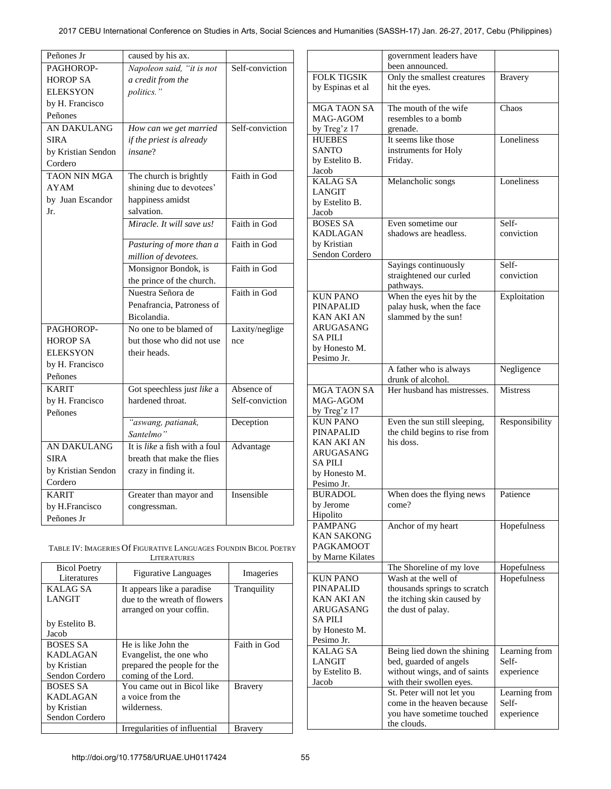| Peñones Jr          | caused by his ax.             |                 |
|---------------------|-------------------------------|-----------------|
| PAGHOROP-           | Napoleon said, "it is not     | Self-conviction |
| <b>HOROP SA</b>     | a credit from the             |                 |
| <b>ELEKSYON</b>     | politics."                    |                 |
| by H. Francisco     |                               |                 |
| Peñones             |                               |                 |
| AN DAKULANG         | How can we get married        | Self-conviction |
| SIRA                | if the priest is already      |                 |
| by Kristian Sendon  | insane?                       |                 |
| Cordero             |                               |                 |
| <b>TAON NIN MGA</b> | The church is brightly        | Faith in God    |
| <b>AYAM</b>         | shining due to devotees'      |                 |
| by Juan Escandor    | happiness amidst              |                 |
| Jr.                 | salvation.                    |                 |
|                     | Miracle. It will save us!     | Faith in God    |
|                     |                               |                 |
|                     | Pasturing of more than a      | Faith in God    |
|                     | million of devotees.          |                 |
|                     | Monsignor Bondok, is          | Faith in God    |
|                     | the prince of the church.     |                 |
|                     | Nuestra Señora de             | Faith in God    |
|                     | Penafrancia, Patroness of     |                 |
|                     | Bicolandia.                   |                 |
| PAGHOROP-           | No one to be blamed of        | Laxity/neglige  |
| <b>HOROP SA</b>     | but those who did not use     | nce             |
| <b>ELEKSYON</b>     | their heads.                  |                 |
| by H. Francisco     |                               |                 |
| Peñones             |                               |                 |
| <b>KARIT</b>        | Got speechless just like a    | Absence of      |
| by H. Francisco     | hardened throat.              | Self-conviction |
| Peñones             |                               |                 |
|                     | "aswang, patianak,            | Deception       |
|                     | Santelmo"                     |                 |
| <b>AN DAKULANG</b>  | It is like a fish with a foul | Advantage       |
| SIRA                | breath that make the flies    |                 |
| by Kristian Sendon  | crazy in finding it.          |                 |
| Cordero             |                               |                 |
| <b>KARIT</b>        | Greater than mayor and        | Insensible      |
| by H.Francisco      | congressman.                  |                 |
| Peñones Jr          |                               |                 |

TABLE IV: IMAGERIES Of FIGURATIVE LANGUAGES FOUNDIN BICOL POETRY **LITERATURES** 

| <b>Bicol Poetry</b><br>Literatures | <b>Figurative Languages</b>                                | Imageries      |  |
|------------------------------------|------------------------------------------------------------|----------------|--|
| <b>KALAG SA</b><br><b>LANGIT</b>   | It appears like a paradise<br>due to the wreath of flowers | Tranquility    |  |
|                                    | arranged on your coffin.                                   |                |  |
| by Estelito B.                     |                                                            |                |  |
| Jacob                              |                                                            |                |  |
| <b>BOSES SA</b>                    | He is like John the                                        | Faith in God   |  |
| <b>KADLAGAN</b>                    | Evangelist, the one who                                    |                |  |
| by Kristian                        | prepared the people for the                                |                |  |
| Sendon Cordero                     | coming of the Lord.                                        |                |  |
| <b>BOSES SA</b>                    | You came out in Bicol like                                 | <b>Bravery</b> |  |
| <b>KADLAGAN</b>                    | a voice from the                                           |                |  |
| by Kristian                        | wilderness.                                                |                |  |
| Sendon Cordero                     |                                                            |                |  |
|                                    | Irregularities of influential                              | Bravery        |  |

|                             | government leaders have                                  |                 |
|-----------------------------|----------------------------------------------------------|-----------------|
|                             | been announced.                                          |                 |
| <b>FOLK TIGSIK</b>          | Only the smallest creatures                              | <b>Bravery</b>  |
| by Espinas et al            | hit the eyes.                                            |                 |
| <b>MGA TAON SA</b>          | The mouth of the wife                                    | Chaos           |
| MAG-AGOM                    | resembles to a bomb                                      |                 |
| by Treg'z 17                | grenade.                                                 |                 |
| <b>HUEBES</b>               | It seems like those                                      | Loneliness      |
| <b>SANTO</b>                | instruments for Holy                                     |                 |
| by Estelito B.              | Friday.                                                  |                 |
| Jacob                       |                                                          |                 |
| <b>KALAG SA</b>             | Melancholic songs                                        | Loneliness      |
| <b>LANGIT</b>               |                                                          |                 |
| by Estelito B.<br>Jacob     |                                                          |                 |
| <b>BOSES SA</b>             | Even sometime our                                        | Self-           |
| <b>KADLAGAN</b>             | shadows are headless.                                    | conviction      |
| by Kristian                 |                                                          |                 |
| Sendon Cordero              |                                                          |                 |
|                             | Sayings continuously                                     | Self-           |
|                             | straightened our curled                                  | conviction      |
|                             | pathways.                                                |                 |
| <b>KUN PANO</b>             | When the eyes hit by the                                 | Exploitation    |
| <b>PINAPALID</b>            | palay husk, when the face                                |                 |
| <b>KAN AKI AN</b>           | slammed by the sun!                                      |                 |
| ARUGASANG                   |                                                          |                 |
| <b>SA PILI</b>              |                                                          |                 |
| by Honesto M.               |                                                          |                 |
| Pesimo Jr.                  |                                                          |                 |
|                             | A father who is always<br>drunk of alcohol.              | Negligence      |
| <b>MGA TAON SA</b>          | Her husband has mistresses.                              | <b>Mistress</b> |
| MAG-AGOM                    |                                                          |                 |
| by Treg'z 17                |                                                          |                 |
| <b>KUN PANO</b>             | Even the sun still sleeping,                             | Responsibility  |
| <b>PINAPALID</b>            | the child begins to rise from                            |                 |
| <b>KAN AKI AN</b>           | his doss.                                                |                 |
| <b>ARUGASANG</b>            |                                                          |                 |
| <b>SAPILI</b>               |                                                          |                 |
| by Honesto M.               |                                                          |                 |
| Pesimo Jr.                  |                                                          |                 |
| <b>BURADOL</b><br>by Jerome | When does the flying news<br>come?                       | Patience        |
| Hipolito                    |                                                          |                 |
| <b>PAMPANG</b>              | Anchor of my heart                                       | Hopefulness     |
| <b>KAN SAKONG</b>           |                                                          |                 |
| <b>PAGKAMOOT</b>            |                                                          |                 |
| by Marne Kilates            |                                                          |                 |
|                             | The Shoreline of my love                                 | Hopefulness     |
| <b>KUN PANO</b>             | Wash at the well of                                      | Hopefulness     |
| <b>PINAPALID</b>            | thousands springs to scratch                             |                 |
| KAN AKI AN                  | the itching skin caused by                               |                 |
| ARUGASANG                   | the dust of palay.                                       |                 |
| SA PILI                     |                                                          |                 |
| by Honesto M.               |                                                          |                 |
| Pesimo Jr.                  |                                                          |                 |
| <b>KALAGSA</b>              | Being lied down the shining                              | Learning from   |
| <b>LANGIT</b>               | bed, guarded of angels                                   | Self-           |
| by Estelito B.<br>Jacob     | without wings, and of saints<br>with their swollen eyes. | experience      |
|                             | St. Peter will not let you                               | Learning from   |
|                             | come in the heaven because                               | Self-           |
|                             | you have sometime touched                                | experience      |
|                             | the clouds.                                              |                 |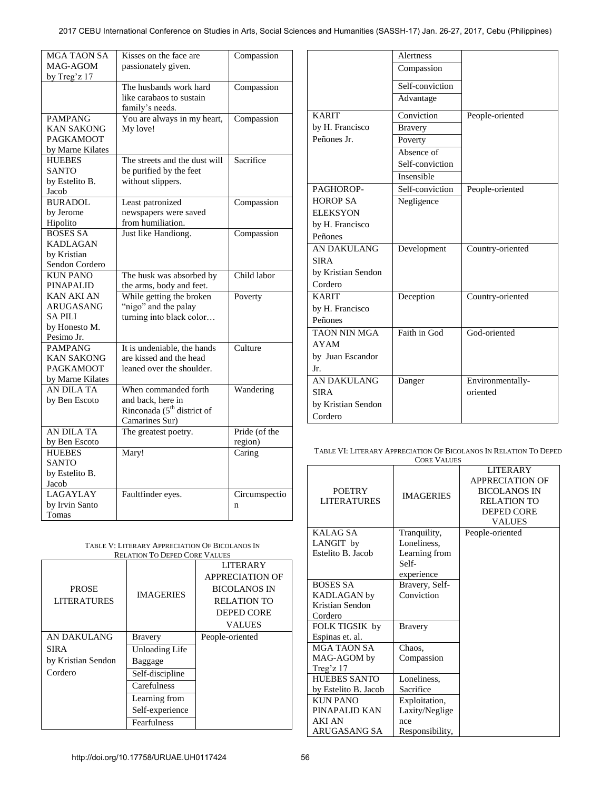| <b>MGA TAON SA</b> | Kisses on the face are        | Compassion    |
|--------------------|-------------------------------|---------------|
| MAG-AGOM           | passionately given.           |               |
| by Treg'z 17       |                               |               |
|                    | The husbands work hard        | Compassion    |
|                    | like carabaos to sustain      |               |
|                    | family's needs.               |               |
| <b>PAMPANG</b>     | You are always in my heart,   | Compassion    |
| <b>KAN SAKONG</b>  | My love!                      |               |
| <b>PAGKAMOOT</b>   |                               |               |
| by Marne Kilates   |                               |               |
| <b>HUEBES</b>      | The streets and the dust will | Sacrifice     |
| <b>SANTO</b>       | be purified by the feet       |               |
| by Estelito B.     | without slippers.             |               |
| Jacob              |                               |               |
| <b>BURADOL</b>     | Least patronized              | Compassion    |
| by Jerome          | newspapers were saved         |               |
| Hipolito           | from humiliation.             |               |
| <b>BOSES SA</b>    | Just like Handiong.           | Compassion    |
| <b>KADLAGAN</b>    |                               |               |
| by Kristian        |                               |               |
| Sendon Cordero     |                               |               |
| <b>KUN PANO</b>    | The husk was absorbed by      | Child labor   |
| <b>PINAPALID</b>   | the arms, body and feet.      |               |
| <b>KAN AKI AN</b>  | While getting the broken      | Poverty       |
| <b>ARUGASANG</b>   |                               |               |
| <b>SAPILI</b>      | "nigo" and the palay          |               |
|                    | turning into black color      |               |
| by Honesto M.      |                               |               |
| Pesimo Jr.         |                               |               |
| <b>PAMPANG</b>     | It is undeniable, the hands   | Culture       |
| <b>KAN SAKONG</b>  | are kissed and the head       |               |
| <b>PAGKAMOOT</b>   | leaned over the shoulder.     |               |
| by Marne Kilates   |                               |               |
| AN DILA TA         | When commanded forth          | Wandering     |
| by Ben Escoto      | and back, here in             |               |
|                    | Rinconada $(5th$ district of  |               |
|                    | Camarines Sur)                |               |
| AN DILA TA         | The greatest poetry.          | Pride (of the |
| by Ben Escoto      |                               | region)       |
| <b>HUEBES</b>      | Mary!                         | Caring        |
| <b>SANTO</b>       |                               |               |
| by Estelito B.     |                               |               |
| Jacob              |                               |               |
| LAGAYLAY           | Faultfinder eyes.             | Circumspectio |
| by Irvin Santo     |                               | $\mathbf n$   |
| Tomas              |                               |               |

| Compassion      |                  |
|-----------------|------------------|
| Self-conviction |                  |
| Advantage       |                  |
| Conviction      | People-oriented  |
| <b>Bravery</b>  |                  |
| Poverty         |                  |
| Absence of      |                  |
| Self-conviction |                  |
| Insensible      |                  |
| Self-conviction | People-oriented  |
| Negligence      |                  |
|                 |                  |
|                 |                  |
|                 |                  |
| Development     | Country-oriented |
|                 |                  |
|                 |                  |
|                 |                  |
| Deception       | Country-oriented |
|                 |                  |
|                 |                  |
| Faith in God    | God-oriented     |
|                 |                  |
|                 |                  |
|                 |                  |
| Danger          | Environmentally- |
|                 | oriented         |
|                 |                  |
|                 |                  |
|                 | <b>Alertness</b> |

| TABLE VI: LITERARY APPRECIATION OF BICOLANOS IN RELATION TO DEPED |
|-------------------------------------------------------------------|
| <b>CORE VALUES</b>                                                |

| <b>POETRY</b><br><b>LITERATURES</b>                                                                                           | <b>IMAGERIES</b>                                                                      | <b>LITERARY</b><br><b>APPRECIATION OF</b><br><b>BICOLANOS IN</b><br><b>RELATION TO</b><br><b>DEPED CORE</b><br><b>VALUES</b> |
|-------------------------------------------------------------------------------------------------------------------------------|---------------------------------------------------------------------------------------|------------------------------------------------------------------------------------------------------------------------------|
| KALAG SA<br>LANGIT by<br>Estelito B. Jacob                                                                                    | Tranquility,<br>Loneliness,<br>Learning from<br>Self-<br>experience                   | People-oriented                                                                                                              |
| <b>BOSES SA</b><br><b>KADLAGAN</b> by<br>Kristian Sendon<br>Cordero                                                           | Bravery, Self-<br>Conviction                                                          |                                                                                                                              |
| FOLK TIGSIK by<br>Espinas et. al.<br><b>MGA TAON SA</b><br>MAG-AGOM by                                                        | <b>Bravery</b><br>Chaos,<br>Compassion                                                |                                                                                                                              |
| Treg'z 17<br><b>HUEBES SANTO</b><br>by Estelito B. Jacob<br><b>KUN PANO</b><br>PINAPALID KAN<br><b>AKI AN</b><br>ARUGASANG SA | Loneliness,<br>Sacrifice<br>Exploitation,<br>Laxity/Neglige<br>nce<br>Responsibility, |                                                                                                                              |

| TABLE V: LITERARY APPRECIATION OF BICOLANOS IN |  |
|------------------------------------------------|--|
| <b>RELATION TO DEPED CORE VALUES</b>           |  |

|                                    | <b>IMAGERIES</b> | <b>LITERARY</b>        |
|------------------------------------|------------------|------------------------|
| <b>PROSE</b><br><b>LITERATURES</b> |                  | <b>APPRECIATION OF</b> |
|                                    |                  | <b>BICOLANOS IN</b>    |
|                                    |                  | <b>RELATION TO</b>     |
|                                    |                  | <b>DEPED CORE</b>      |
|                                    |                  | <b>VALUES</b>          |
| AN DAKULANG                        | <b>Bravery</b>   | People-oriented        |
| <b>SIRA</b>                        | Unloading Life   |                        |
| by Kristian Sendon                 | Baggage          |                        |
| Cordero                            | Self-discipline  |                        |
|                                    | Carefulness      |                        |
|                                    | Learning from    |                        |
|                                    | Self-experience  |                        |
|                                    | Fearfulness      |                        |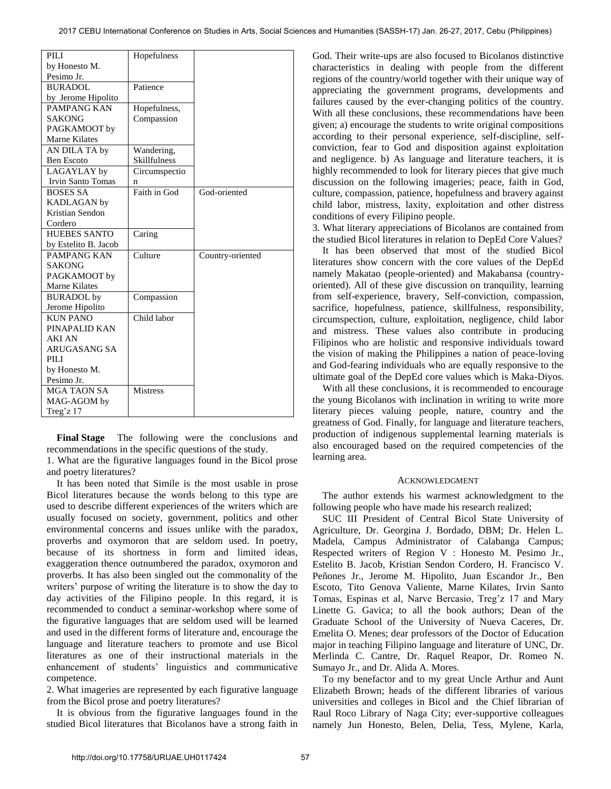| PILI                 | Hopefulness         |                  |
|----------------------|---------------------|------------------|
| by Honesto M.        |                     |                  |
| Pesimo Jr.           |                     |                  |
| <b>BURADOL</b>       | Patience            |                  |
| by Jerome Hipolito   |                     |                  |
| PAMPANG KAN          | Hopefulness,        |                  |
| <b>SAKONG</b>        | Compassion          |                  |
| PAGKAMOOT by         |                     |                  |
| <b>Marne Kilates</b> |                     |                  |
| AN DILA TA by        | Wandering,          |                  |
| <b>Ben Escoto</b>    | <b>Skillfulness</b> |                  |
| LAGAYLAY by          | Circumspectio       |                  |
| Irvin Santo Tomas    | n                   |                  |
| <b>BOSES SA</b>      | Faith in God        | God-oriented     |
| <b>KADLAGAN</b> by   |                     |                  |
| Kristian Sendon      |                     |                  |
| Cordero              |                     |                  |
| <b>HUEBES SANTO</b>  | Caring              |                  |
| by Estelito B. Jacob |                     |                  |
| PAMPANG KAN          | Culture             | Country-oriented |
| <b>SAKONG</b>        |                     |                  |
| PAGKAMOOT by         |                     |                  |
| <b>Marne Kilates</b> |                     |                  |
| <b>BURADOL</b> by    | Compassion          |                  |
| Jerome Hipolito      |                     |                  |
| <b>KUN PANO</b>      | Child labor         |                  |
| PINAPALID KAN        |                     |                  |
| <b>AKI AN</b>        |                     |                  |
| <b>ARUGASANG SA</b>  |                     |                  |
| PILI                 |                     |                  |
| by Honesto M.        |                     |                  |
| Pesimo Jr.           |                     |                  |
| <b>MGA TAON SA</b>   | <b>Mistress</b>     |                  |
| MAG-AGOM by          |                     |                  |
| Treg'z $17$          |                     |                  |

**Final Stage** The following were the conclusions and recommendations in the specific questions of the study.

1. What are the figurative languages found in the Bicol prose and poetry literatures?

 It has been noted that Simile is the most usable in prose Bicol literatures because the words belong to this type are used to describe different experiences of the writers which are usually focused on society, government, politics and other environmental concerns and issues unlike with the paradox, proverbs and oxymoron that are seldom used. In poetry, because of its shortness in form and limited ideas, exaggeration thence outnumbered the paradox, oxymoron and proverbs. It has also been singled out the commonality of the writers' purpose of writing the literature is to show the day to day activities of the Filipino people. In this regard, it is recommended to conduct a seminar-workshop where some of the figurative languages that are seldom used will be learned and used in the different forms of literature and, encourage the language and literature teachers to promote and use Bicol literatures as one of their instructional materials in the enhancement of students' linguistics and communicative competence.

2. What imageries are represented by each figurative language from the Bicol prose and poetry literatures?

 It is obvious from the figurative languages found in the studied Bicol literatures that Bicolanos have a strong faith in God. Their write-ups are also focused to Bicolanos distinctive characteristics in dealing with people from the different regions of the country/world together with their unique way of appreciating the government programs, developments and failures caused by the ever-changing politics of the country. With all these conclusions, these recommendations have been given; a) encourage the students to write original compositions according to their personal experience, self-discipline, selfconviction, fear to God and disposition against exploitation and negligence. b) As language and literature teachers, it is highly recommended to look for literary pieces that give much discussion on the following imageries; peace, faith in God, culture, compassion, patience, hopefulness and bravery against child labor, mistress, laxity, exploitation and other distress conditions of every Filipino people.

3. What literary appreciations of Bicolanos are contained from the studied Bicol literatures in relation to DepEd Core Values?

 It has been observed that most of the studied Bicol literatures show concern with the core values of the DepEd namely Makatao (people-oriented) and Makabansa (countryoriented). All of these give discussion on tranquility, learning from self-experience, bravery, Self-conviction, compassion, sacrifice, hopefulness, patience, skillfulness, responsibility, circumspection, culture, exploitation, negligence, child labor and mistress. These values also contribute in producing Filipinos who are holistic and responsive individuals toward the vision of making the Philippines a nation of peace-loving and God-fearing individuals who are equally responsive to the ultimate goal of the DepEd core values which is Maka-Diyos.

 With all these conclusions, it is recommended to encourage the young Bicolanos with inclination in writing to write more literary pieces valuing people, nature, country and the greatness of God. Finally, for language and literature teachers, production of indigenous supplemental learning materials is also encouraged based on the required competencies of the learning area.

## ACKNOWLEDGMENT

The author extends his warmest acknowledgment to the following people who have made his research realized;

SUC III President of Central Bicol State University of Agriculture, Dr. Georgina J. Bordado, DBM; Dr. Helen L. Madela, Campus Administrator of Calabanga Campus; Respected writers of Region V : Honesto M. Pesimo Jr., Estelito B. Jacob, Kristian Sendon Cordero, H. Francisco V. Peñones Jr., Jerome M. Hipolito, Juan Escandor Jr., Ben Escoto, Tito Genova Valiente, Marne Kilates, Irvin Santo Tomas, Espinas et al, Narve Bercasio, Treg'z 17 and Mary Linette G. Gavica; to all the book authors; Dean of the Graduate School of the University of Nueva Caceres, Dr. Emelita O. Menes; dear professors of the Doctor of Education major in teaching Filipino language and literature of UNC, Dr. Merlinda C. Cantre, Dr. Raquel Reapor, Dr. Romeo N. Sumayo Jr., and Dr. Alida A. Mores.

 To my benefactor and to my great Uncle Arthur and Aunt Elizabeth Brown; heads of the different libraries of various universities and colleges in Bicol and the Chief librarian of Raul Roco Library of Naga City; ever-supportive colleagues namely Jun Honesto, Belen, Delia, Tess, Mylene, Karla,